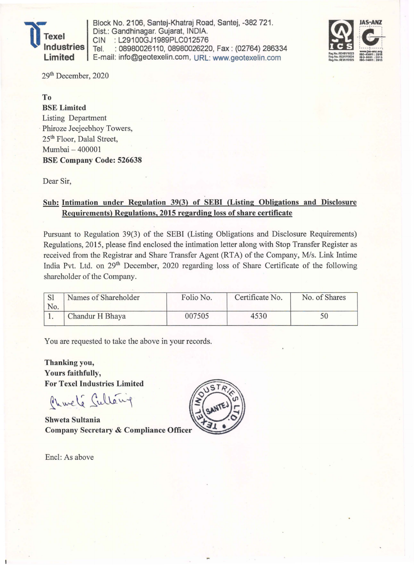

Block No. 2106, Santej-Khatraj Road, Santej, -382 721 . Dist.: Gandhinagar. Gujarat, INDIA. CIN : L29100GJ1989PLC012576<br>Tel. : 08980026110, 08980026220 : 08980026110, 08980026220, Fax: (02764) 286334 E-mail: info@geotexelin.com, URL: www.geotexelin.com



29th December, 2020

To BSE Limited Listing Department . Phiroze Jeejeebhoy Towers, 25<sup>th</sup> Floor, Dalal Street, Mumbai - 400001 BSE Company Code: 526638

Dear Sir,

## Sub: Intimation under Regulation 39(3) of SEBI (Listing Obligations and Disclosure Requirements) Regulations, 2015 regarding loss of share certificate

Pursuant to Regulation 39(3) of the SEBI (Listing Obligations and Disclosure Requirements) Regulations, 2015, please find enclosed the intimation letter along with Stop Transfer Register as received from the Registrar and Share Transfer Agent (RTA) of the Company, *MIs.* Link Intime India Pvt. Ltd. on 29th December, 2020 regarding loss of Share Certificate of the following shareholder of the Company.

| No. | Names of Shareholder | Folio No. | Certificate No. | No. of Shares |
|-----|----------------------|-----------|-----------------|---------------|
|     | Chandur H Bhaya      | 007505    | 4530            |               |

You are requested to take the above in your records.

Thanking you, Yours faithfully, For Texel Industries Limited

Charle Sultary

Shweta Sultania **Company Secretary & Compliance Officer** 

Encl: As above

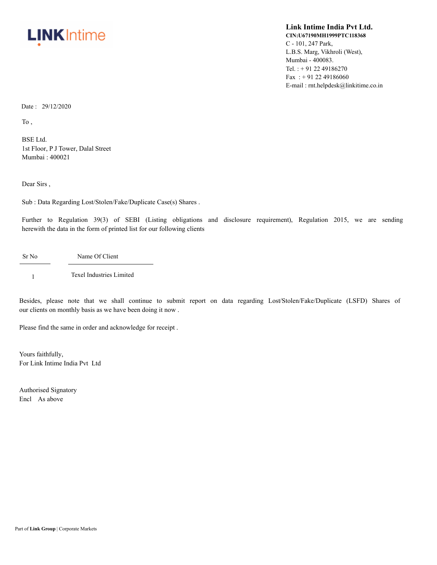

## **Link Intime India Pvt Ltd. CIN:U67190MH1999PTC118368** C - 101, 247 Park, L.B.S. Marg, Vikhroli (West), Mumbai - 400083. Tel. : + 91 22 49186270 Fax: +91 22 49186060 E-mail : rnt.helpdesk@linkitime.co.in

Date: 29/12/2020

To ,

BSE Ltd. 1st Floor, P J Tower, Dalal Street Mumbai : 400021

Dear Sirs ,

Sub : Data Regarding Lost/Stolen/Fake/Duplicate Case(s) Shares .

Further to Regulation 39(3) of SEBI (Listing obligations and disclosure requirement), Regulation 2015, we are sending herewith the data in the form of printed list for our following clients

Sr No Name Of Client

1 Texel Industries Limited

Besides, please note that we shall continue to submit report on data regarding Lost/Stolen/Fake/Duplicate (LSFD) Shares of our clients on monthly basis as we have been doing it now .

Please find the same in order and acknowledge for receipt .

Yours faithfully, For Link Intime India Pvt Ltd

Authorised Signatory Encl As above